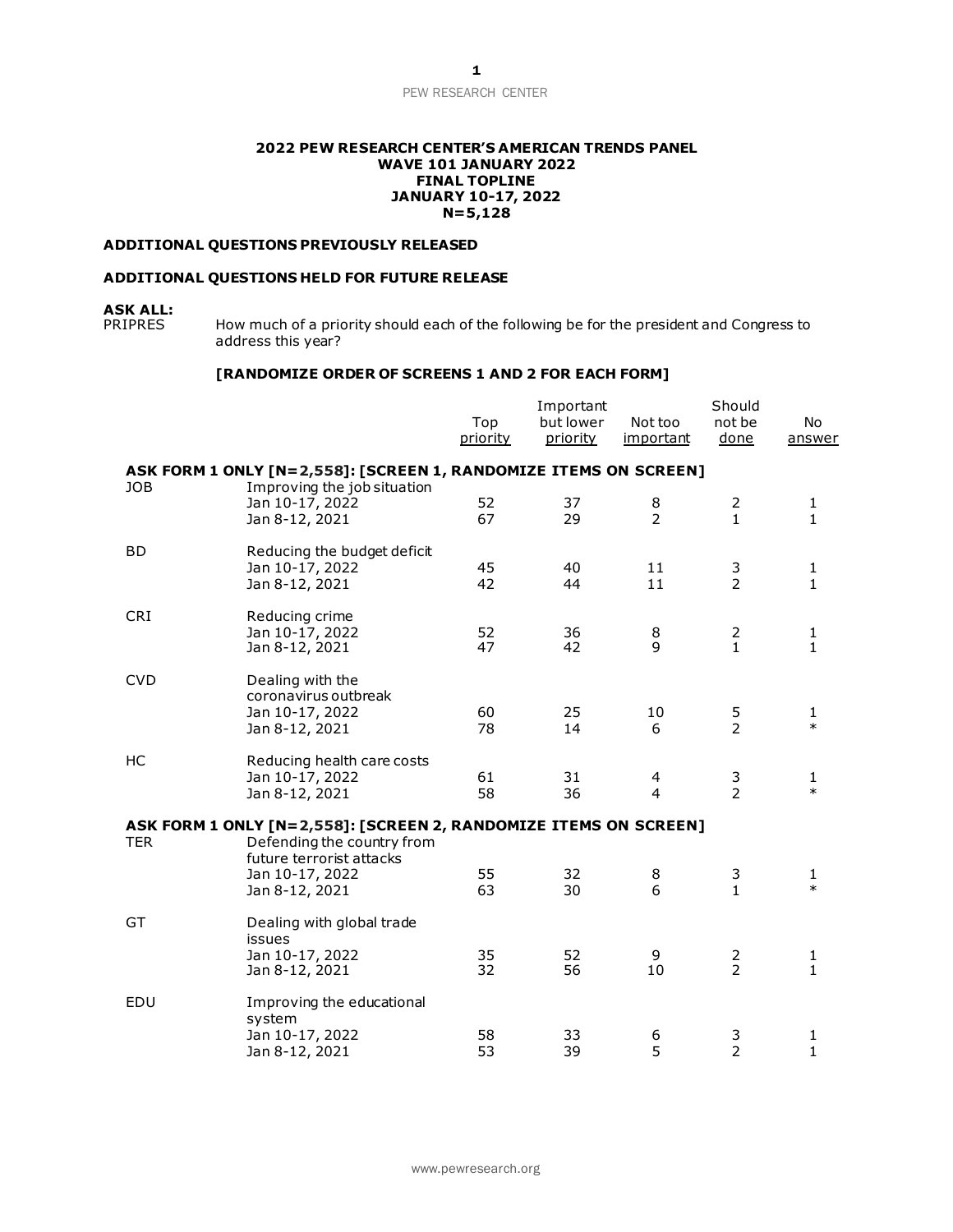## PEW RESEARCH CENTER

### **2022 PEW RESEARCH CENTER'S AMERICAN TRENDS PANEL WAVE 101 JANUARY 2022 FINAL TOPLINE JANUARY 10-17, 2022 N=5,128**

## **ADDITIONAL QUESTIONS PREVIOUSLY RELEASED**

## **ADDITIONAL QUESTIONS HELD FOR FUTURE RELEASE**

# **ASK ALL:**

How much of a priority should each of the following be for the president and Congress to address this year?

### **[RANDOMIZE ORDER OF SCREENS 1 AND 2 FOR EACH FORM]**

|            |                                                                                             | Top<br>priority | Important<br>but lower<br>priority | Not too<br>important | Should<br>not be<br>done         | No<br>answer                 |
|------------|---------------------------------------------------------------------------------------------|-----------------|------------------------------------|----------------------|----------------------------------|------------------------------|
|            | ASK FORM 1 ONLY [N=2,558]: [SCREEN 1, RANDOMIZE ITEMS ON SCREEN]                            |                 |                                    |                      |                                  |                              |
| <b>JOB</b> | Improving the job situation<br>Jan 10-17, 2022<br>Jan 8-12, 2021                            | 52<br>67        | 37<br>29                           | 8<br>$\overline{2}$  | $\overline{2}$<br>$\mathbf{1}$   | 1<br>$\mathbf{1}$            |
| <b>BD</b>  | Reducing the budget deficit<br>Jan 10-17, 2022<br>Jan 8-12, 2021                            | 45<br>42        | 40<br>44                           | 11<br>11             | 3<br>$\overline{2}$              | 1<br>$\mathbf{1}$            |
| <b>CRI</b> | Reducing crime<br>Jan 10-17, 2022<br>Jan 8-12, 2021                                         | 52<br>47        | 36<br>42                           | 8<br>9               | $\frac{2}{1}$                    | $\mathbf{1}$<br>$\mathbf{1}$ |
| <b>CVD</b> | Dealing with the<br>coronavirus outbreak<br>Jan 10-17, 2022<br>Jan 8-12, 2021               | 60<br>78        | 25<br>14                           | 10<br>6              | 5<br>$\overline{2}$              | 1<br>$\ast$                  |
| HC         | Reducing health care costs<br>Jan 10-17, 2022<br>Jan 8-12, 2021                             | 61<br>58        | 31<br>36                           | 4<br>$\overline{4}$  | 3<br>$\overline{2}$              | $\mathbf{1}$<br>$\ast$       |
|            | ASK FORM 1 ONLY [N=2,558]: [SCREEN 2, RANDOMIZE ITEMS ON SCREEN]                            |                 |                                    |                      |                                  |                              |
| <b>TER</b> | Defending the country from<br>future terrorist attacks<br>Jan 10-17, 2022<br>Jan 8-12, 2021 | 55<br>63        | 32<br>30                           | 8<br>6               | 3<br>$\mathbf{1}$                | 1<br>$\ast$                  |
| GT         | Dealing with global trade<br>issues<br>Jan 10-17, 2022<br>Jan 8-12, 2021                    | 35<br>32        | 52<br>56                           | 9<br>10              | $\overline{c}$<br>$\overline{2}$ | $\mathbf{1}$<br>1            |
| EDU        | Improving the educational<br>system<br>Jan 10-17, 2022<br>Jan 8-12, 2021                    | 58<br>53        | 33<br>39                           | 6<br>5               | 3<br>$\overline{2}$              | 1<br>1                       |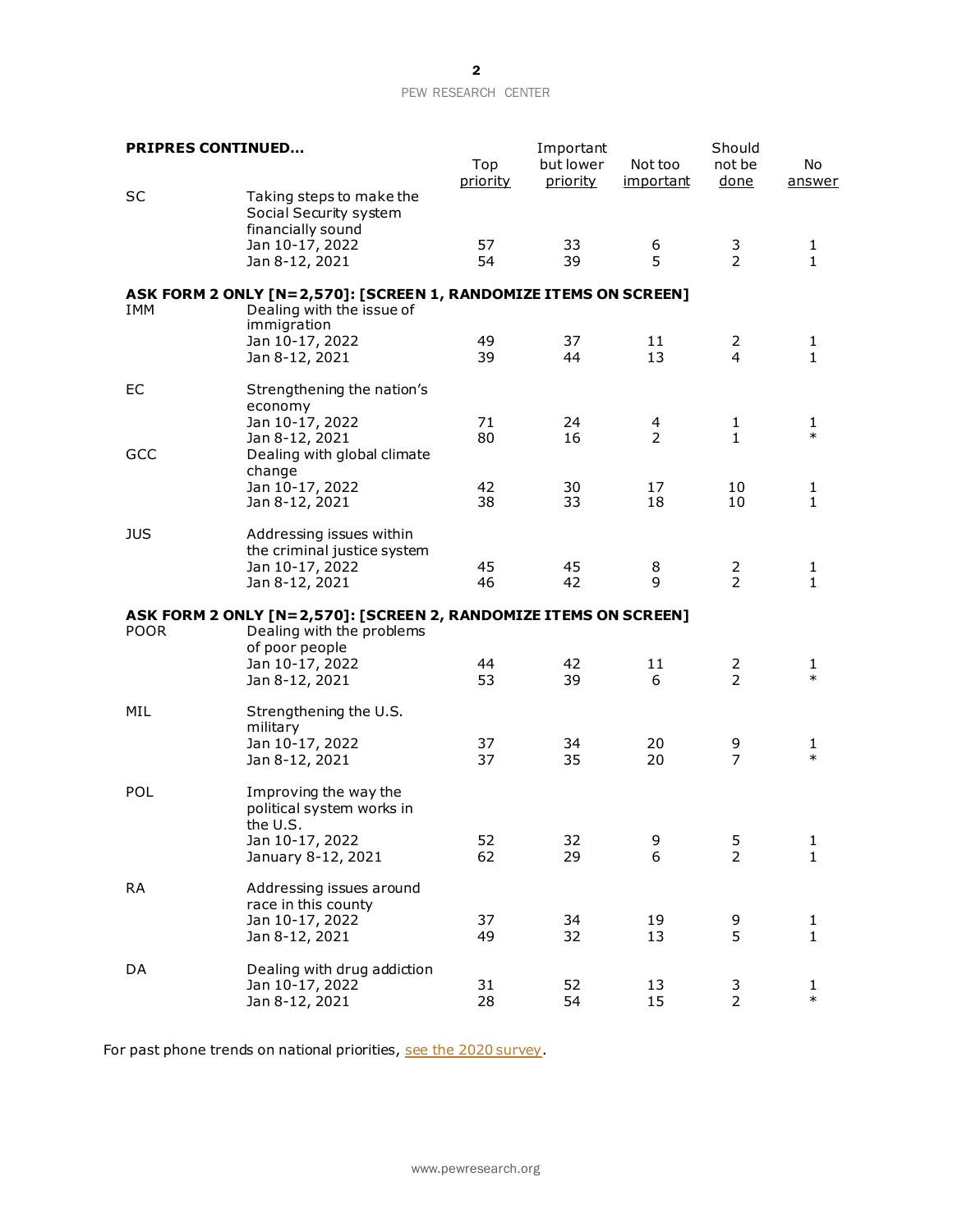## PEW RESEARCH CENTER

| <b>PRIPRES CONTINUED</b> |                                                                                                                 | Top<br>priority | Important<br>but lower<br><u>priority</u> | Not too<br><u>important</u> | Should<br>not be<br>done | No<br>answer      |
|--------------------------|-----------------------------------------------------------------------------------------------------------------|-----------------|-------------------------------------------|-----------------------------|--------------------------|-------------------|
| SC                       | Taking steps to make the<br>Social Security system<br>financially sound<br>Jan 10-17, 2022                      | 57              | 33                                        | 6                           | 3                        | $\mathbf{1}$      |
|                          | Jan 8-12, 2021                                                                                                  | 54              | 39                                        | 5                           | $\overline{2}$           | $\mathbf{1}$      |
|                          | ASK FORM 2 ONLY [N=2,570]: [SCREEN 1, RANDOMIZE ITEMS ON SCREEN]                                                |                 |                                           |                             |                          |                   |
| IMM                      | Dealing with the issue of<br>immigration                                                                        |                 |                                           |                             |                          |                   |
|                          | Jan 10-17, 2022<br>Jan 8-12, 2021                                                                               | 49<br>39        | 37<br>44                                  | 11<br>13                    | 2<br>$\overline{4}$      | 1<br>$\mathbf{1}$ |
| EC                       | Strengthening the nation's<br>economy                                                                           | 71              | 24                                        |                             |                          | 1                 |
| GCC                      | Jan 10-17, 2022<br>Jan 8-12, 2021<br>Dealing with global climate                                                | 80              | 16                                        | 4<br>$\overline{2}$         | $\mathbf{1}$<br>1        | $\ast$            |
|                          | change<br>Jan 10-17, 2022<br>Jan 8-12, 2021                                                                     | 42<br>38        | 30<br>33                                  | 17<br>18                    | 10<br>10                 | 1<br>1            |
| <b>JUS</b>               | Addressing issues within<br>the criminal justice system<br>Jan 10-17, 2022                                      | 45              | 45                                        | 8                           | 2                        | 1                 |
|                          | Jan 8-12, 2021                                                                                                  | 46              | 42                                        | 9                           | $\mathcal{P}$            | $\mathbf{1}$      |
| <b>POOR</b>              | ASK FORM 2 ONLY [N=2,570]: [SCREEN 2, RANDOMIZE ITEMS ON SCREEN]<br>Dealing with the problems<br>of poor people |                 |                                           |                             |                          |                   |
|                          | Jan 10-17, 2022<br>Jan 8-12, 2021                                                                               | 44<br>53        | 42<br>39                                  | 11<br>6                     | 2<br>$\overline{2}$      | 1<br>$\ast$       |
| MIL                      | Strengthening the U.S.<br>military                                                                              |                 |                                           |                             |                          |                   |
|                          | Jan 10-17, 2022<br>Jan 8-12, 2021                                                                               | 37<br>37        | 34<br>35                                  | 20<br>20                    | 9<br>$\overline{7}$      | 1<br>$\ast$       |
| POL                      | Improving the way the<br>political system works in<br>the U.S.                                                  |                 |                                           |                             |                          |                   |
|                          | Jan 10-17, 2022<br>January 8-12, 2021                                                                           | 52<br>62        | 32<br>29                                  | 9<br>6                      | 5<br>$\overline{2}$      | 1<br>$\mathbf{1}$ |
| <b>RA</b>                | Addressing issues around<br>race in this county                                                                 |                 |                                           |                             |                          |                   |
|                          | Jan 10-17, 2022<br>Jan 8-12, 2021                                                                               | 37<br>49        | 34<br>32                                  | 19<br>13                    | 9<br>5                   | 1<br>$\mathbf{1}$ |
| DA                       | Dealing with drug addiction<br>Jan 10-17, 2022<br>Jan 8-12, 2021                                                | 31<br>28        | 52<br>54                                  | 13<br>15                    | $\frac{3}{2}$            | 1<br>$\ast$       |

For past phone trends on national priorities[, see the 2020 survey](https://www.pewresearch.org/politics/2020/02/13/as-economic-concerns-recede-environmental-protection-rises-on-the-publics-policy-agenda/).